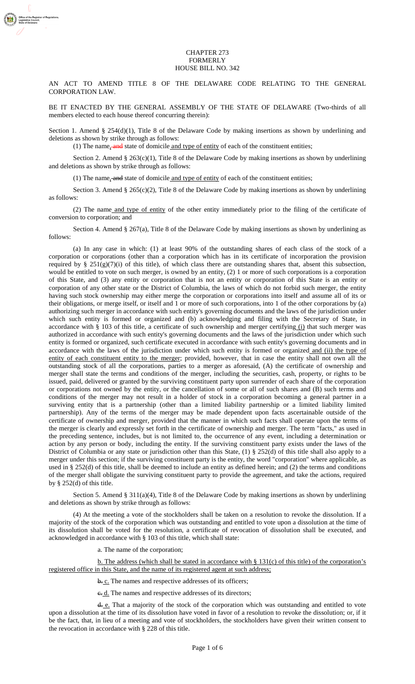## CHAPTER 273 FORMERLY HOUSE BILL NO. 342

AN ACT TO AMEND TITLE 8 OF THE DELAWARE CODE RELATING TO THE GENERAL CORPORATION LAW.

BE IT ENACTED BY THE GENERAL ASSEMBLY OF THE STATE OF DELAWARE (Two-thirds of all members elected to each house thereof concurring therein):

Section 1. Amend § 254(d)(1), Title 8 of the Delaware Code by making insertions as shown by underlining and deletions as shown by strike through as follows:

(1) The name<sub> $<sub>1</sub>$ </sub> and state of domicile and type of entity of each of the constituent entities;</sub>

Section 2. Amend § 263(c)(1), Title 8 of the Delaware Code by making insertions as shown by underlining and deletions as shown by strike through as follows:

(1) The name, and state of domicile and type of entity of each of the constituent entities;

Section 3. Amend § 265(c)(2), Title 8 of the Delaware Code by making insertions as shown by underlining as follows:

(2) The name and type of entity of the other entity immediately prior to the filing of the certificate of conversion to corporation; and

Section 4. Amend § 267(a), Title 8 of the Delaware Code by making insertions as shown by underlining as follows:

(a) In any case in which: (1) at least 90% of the outstanding shares of each class of the stock of a corporation or corporations (other than a corporation which has in its certificate of incorporation the provision required by §  $251(g)(7)(i)$  of this title), of which class there are outstanding shares that, absent this subsection, would be entitled to vote on such merger, is owned by an entity, (2) 1 or more of such corporations is a corporation of this State, and (3) any entity or corporation that is not an entity or corporation of this State is an entity or corporation of any other state or the District of Columbia, the laws of which do not forbid such merger, the entity having such stock ownership may either merge the corporation or corporations into itself and assume all of its or their obligations, or merge itself, or itself and 1 or more of such corporations, into 1 of the other corporations by (a) authorizing such merger in accordance with such entity's governing documents and the laws of the jurisdiction under which such entity is formed or organized and (b) acknowledging and filing with the Secretary of State, in accordance with § 103 of this title, a certificate of such ownership and merger certifying (i) that such merger was authorized in accordance with such entity's governing documents and the laws of the jurisdiction under which such entity is formed or organized, such certificate executed in accordance with such entity's governing documents and in accordance with the laws of the jurisdiction under which such entity is formed or organized and (ii) the type of entity of each constituent entity to the merger; provided, however, that in case the entity shall not own all the outstanding stock of all the corporations, parties to a merger as aforesaid, (A) the certificate of ownership and merger shall state the terms and conditions of the merger, including the securities, cash, property, or rights to be issued, paid, delivered or granted by the surviving constituent party upon surrender of each share of the corporation or corporations not owned by the entity, or the cancellation of some or all of such shares and (B) such terms and conditions of the merger may not result in a holder of stock in a corporation becoming a general partner in a surviving entity that is a partnership (other than a limited liability partnership or a limited liability limited partnership). Any of the terms of the merger may be made dependent upon facts ascertainable outside of the certificate of ownership and merger, provided that the manner in which such facts shall operate upon the terms of the merger is clearly and expressly set forth in the certificate of ownership and merger. The term "facts," as used in the preceding sentence, includes, but is not limited to, the occurrence of any event, including a determination or action by any person or body, including the entity. If the surviving constituent party exists under the laws of the District of Columbia or any state or jurisdiction other than this State, (1)  $\S$  252(d) of this title shall also apply to a merger under this section; if the surviving constituent party is the entity, the word "corporation" where applicable, as used in § 252(d) of this title, shall be deemed to include an entity as defined herein; and (2) the terms and conditions of the merger shall obligate the surviving constituent party to provide the agreement, and take the actions, required by § 252(d) of this title.

Section 5. Amend § 311(a)(4), Title 8 of the Delaware Code by making insertions as shown by underlining and deletions as shown by strike through as follows:

(4) At the meeting a vote of the stockholders shall be taken on a resolution to revoke the dissolution. If a majority of the stock of the corporation which was outstanding and entitled to vote upon a dissolution at the time of its dissolution shall be voted for the resolution, a certificate of revocation of dissolution shall be executed, and acknowledged in accordance with § 103 of this title, which shall state:

a. The name of the corporation;

b. The address (which shall be stated in accordance with  $\S$  131(c) of this title) of the corporation's registered office in this State, and the name of its registered agent at such address;

b. c. The names and respective addresses of its officers;

e. d. The names and respective addresses of its directors;

d. e. That a majority of the stock of the corporation which was outstanding and entitled to vote upon a dissolution at the time of its dissolution have voted in favor of a resolution to revoke the dissolution; or, if it be the fact, that, in lieu of a meeting and vote of stockholders, the stockholders have given their written consent to the revocation in accordance with § 228 of this title.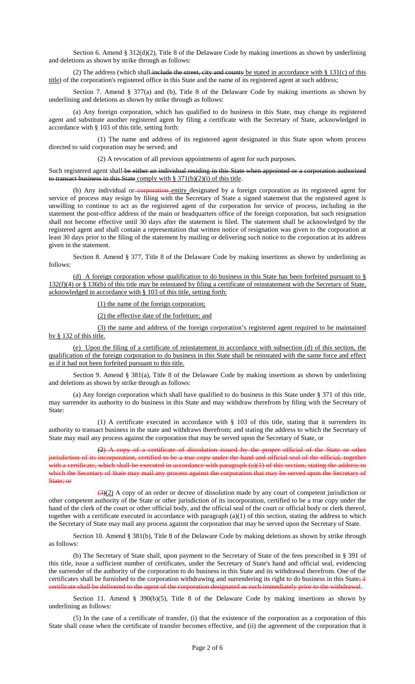Section 6. Amend §  $312(d)(2)$ , Title 8 of the Delaware Code by making insertions as shown by underlining and deletions as shown by strike through as follows:

(2) The address (which shall include the street, city and county be stated in accordance with  $§$  131(c) of this title) of the corporation's registered office in this State and the name of its registered agent at such address;

Section 7. Amend § 377(a) and (b), Title 8 of the Delaware Code by making insertions as shown by underlining and deletions as shown by strike through as follows:

(a) Any foreign corporation, which has qualified to do business in this State, may change its registered agent and substitute another registered agent by filing a certificate with the Secretary of State, acknowledged in accordance with § 103 of this title, setting forth:

(1) The name and address of its registered agent designated in this State upon whom process directed to said corporation may be served; and

(2) A revocation of all previous appointments of agent for such purposes.

Such registered agent shall be either an individual residing in this State when appointed or a corporation authorized to transact business in this State comply with  $\S 371(b)(2)(i)$  of this title.

(b) Any individual or-corporation entity designated by a foreign corporation as its registered agent for service of process may resign by filing with the Secretary of State a signed statement that the registered agent is unwilling to continue to act as the registered agent of the corporation for service of process, including in the statement the post-office address of the main or headquarters office of the foreign corporation, but such resignation shall not become effective until 30 days after the statement is filed. The statement shall be acknowledged by the registered agent and shall contain a representation that written notice of resignation was given to the corporation at least 30 days prior to the filing of the statement by mailing or delivering such notice to the corporation at its address given in the statement.

Section 8. Amend § 377, Title 8 of the Delaware Code by making insertions as shown by underlining as follows:

(d) A foreign corporation whose qualification to do business in this State has been forfeited pursuant to § 132(f)(4) or § 136(b) of this title may be reinstated by filing a certificate of reinstatement with the Secretary of State, acknowledged in accordance with § 103 of this title, setting forth:

(1) the name of the foreign corporation;

(2) the effective date of the forfeiture; and

(3) the name and address of the foreign corporation's registered agent required to be maintained by § 132 of this title.

(e) Upon the filing of a certificate of reinstatement in accordance with subsection (d) of this section, the qualification of the foreign corporation to do business in this State shall be reinstated with the same force and effect as if it had not been forfeited pursuant to this title.

Section 9. Amend § 381(a), Title 8 of the Delaware Code by making insertions as shown by underlining and deletions as shown by strike through as follows:

(a) Any foreign corporation which shall have qualified to do business in this State under § 371 of this title, may surrender its authority to do business in this State and may withdraw therefrom by filing with the Secretary of State:

(1) A certificate executed in accordance with § 103 of this title, stating that it surrenders its authority to transact business in the state and withdraws therefrom; and stating the address to which the Secretary of State may mail any process against the corporation that may be served upon the Secretary of State, or

(2) A copy of a certificate of dissolution issued by the proper official of the State or other jurisdiction of its incorporation, certified to be a true copy under the hand and official seal of the official, together with a certificate, which shall be executed in accordance with paragraph (a)(1) of this section, stating the address to which the Secretary of State may mail any process against the corporation that may be served upon the Secretary of State: or

 $(3)(2)$  A copy of an order or decree of dissolution made by any court of competent jurisdiction or other competent authority of the State or other jurisdiction of its incorporation, certified to be a true copy under the hand of the clerk of the court or other official body, and the official seal of the court or official body or clerk thereof, together with a certificate executed in accordance with paragraph (a)(1) of this section, stating the address to which the Secretary of State may mail any process against the corporation that may be served upon the Secretary of State.

Section 10. Amend § 381(b), Title 8 of the Delaware Code by making deletions as shown by strike through as follows:

(b) The Secretary of State shall, upon payment to the Secretary of State of the fees prescribed in § 391 of this title, issue a sufficient number of certificates, under the Secretary of State's hand and official seal, evidencing the surrender of the authority of the corporation to do business in this State and its withdrawal therefrom. One of the certificates shall be furnished to the corporation withdrawing and surrendering its right to do business in this State;  $\pm$ certificate shall be delivered to the agent of the corporation designated as such immediately prior to the withdrawal.

Section 11. Amend § 390(b)(5), Title 8 of the Delaware Code by making insertions as shown by underlining as follows:

(5) In the case of a certificate of transfer, (i) that the existence of the corporation as a corporation of this State shall cease when the certificate of transfer becomes effective, and (ii) the agreement of the corporation that it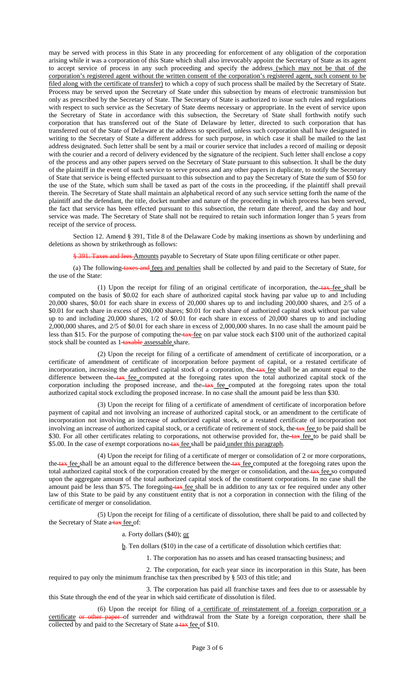may be served with process in this State in any proceeding for enforcement of any obligation of the corporation arising while it was a corporation of this State which shall also irrevocably appoint the Secretary of State as its agent to accept service of process in any such proceeding and specify the address (which may not be that of the corporation's registered agent without the written consent of the corporation's registered agent, such consent to be filed along with the certificate of transfer) to which a copy of such process shall be mailed by the Secretary of State. Process may be served upon the Secretary of State under this subsection by means of electronic transmission but only as prescribed by the Secretary of State. The Secretary of State is authorized to issue such rules and regulations with respect to such service as the Secretary of State deems necessary or appropriate. In the event of service upon the Secretary of State in accordance with this subsection, the Secretary of State shall forthwith notify such corporation that has transferred out of the State of Delaware by letter, directed to such corporation that has transferred out of the State of Delaware at the address so specified, unless such corporation shall have designated in writing to the Secretary of State a different address for such purpose, in which case it shall be mailed to the last address designated. Such letter shall be sent by a mail or courier service that includes a record of mailing or deposit with the courier and a record of delivery evidenced by the signature of the recipient. Such letter shall enclose a copy of the process and any other papers served on the Secretary of State pursuant to this subsection. It shall be the duty of the plaintiff in the event of such service to serve process and any other papers in duplicate, to notify the Secretary of State that service is being effected pursuant to this subsection and to pay the Secretary of State the sum of \$50 for the use of the State, which sum shall be taxed as part of the costs in the proceeding, if the plaintiff shall prevail therein. The Secretary of State shall maintain an alphabetical record of any such service setting forth the name of the plaintiff and the defendant, the title, docket number and nature of the proceeding in which process has been served, the fact that service has been effected pursuant to this subsection, the return date thereof, and the day and hour service was made. The Secretary of State shall not be required to retain such information longer than 5 years from receipt of the service of process.

Section 12. Amend § 391, Title 8 of the Delaware Code by making insertions as shown by underlining and deletions as shown by strikethrough as follows:

§ 391. Taxes and fees Amounts payable to Secretary of State upon filing certificate or other paper.

(a) The following taxes and fees and penalties shall be collected by and paid to the Secretary of State, for the use of the State:

(1) Upon the receipt for filing of an original certificate of incorporation, the  $\frac{tan F}{cos F}$  shall be computed on the basis of \$0.02 for each share of authorized capital stock having par value up to and including 20,000 shares, \$0.01 for each share in excess of 20,000 shares up to and including 200,000 shares, and 2/5 of a \$0.01 for each share in excess of 200,000 shares; \$0.01 for each share of authorized capital stock without par value up to and including 20,000 shares, 1/2 of \$0.01 for each share in excess of 20,000 shares up to and including 2,000,000 shares, and 2/5 of \$0.01 for each share in excess of 2,000,000 shares. In no case shall the amount paid be less than \$15. For the purpose of computing the tax-fee on par value stock each \$100 unit of the authorized capital stock shall be counted as 1 taxable assessable share.

(2) Upon the receipt for filing of a certificate of amendment of certificate of incorporation, or a certificate of amendment of certificate of incorporation before payment of capital, or a restated certificate of incorporation, increasing the authorized capital stock of a corporation, the tax fee shall be an amount equal to the difference between the tax fee computed at the foregoing rates upon the total authorized capital stock of the corporation including the proposed increase, and the tax fee computed at the foregoing rates upon the total authorized capital stock excluding the proposed increase. In no case shall the amount paid be less than \$30.

(3) Upon the receipt for filing of a certificate of amendment of certificate of incorporation before payment of capital and not involving an increase of authorized capital stock, or an amendment to the certificate of incorporation not involving an increase of authorized capital stock, or a restated certificate of incorporation not involving an increase of authorized capital stock, or a certificate of retirement of stock, the tax fee to be paid shall be \$30. For all other certificates relating to corporations, not otherwise provided for, the tax fee to be paid shall be \$5.00. In the case of exempt corporations no tax fee shall be paid under this paragraph.

(4) Upon the receipt for filing of a certificate of merger or consolidation of 2 or more corporations, the tax fee shall be an amount equal to the difference between the tax fee computed at the foregoing rates upon the total authorized capital stock of the corporation created by the merger or consolidation, and the tax fee so computed upon the aggregate amount of the total authorized capital stock of the constituent corporations. In no case shall the amount paid be less than \$75. The foregoing tax fee shall be in addition to any tax or fee required under any other law of this State to be paid by any constituent entity that is not a corporation in connection with the filing of the certificate of merger or consolidation.

(5) Upon the receipt for filing of a certificate of dissolution, there shall be paid to and collected by the Secretary of State a-tax fee\_of:

## a. Forty dollars (\$40); or

 $\underline{b}$ . Ten dollars (\$10) in the case of a certificate of dissolution which certifies that:

1. The corporation has no assets and has ceased transacting business; and

2. The corporation, for each year since its incorporation in this State, has been required to pay only the minimum franchise tax then prescribed by § 503 of this title; and

3. The corporation has paid all franchise taxes and fees due to or assessable by this State through the end of the year in which said certificate of dissolution is filed.

(6) Upon the receipt for filing of a certificate of reinstatement of a foreign corporation or a certificate or other paper of surrender and withdrawal from the State by a foreign corporation, there shall be collected by and paid to the Secretary of State a tax fee of \$10.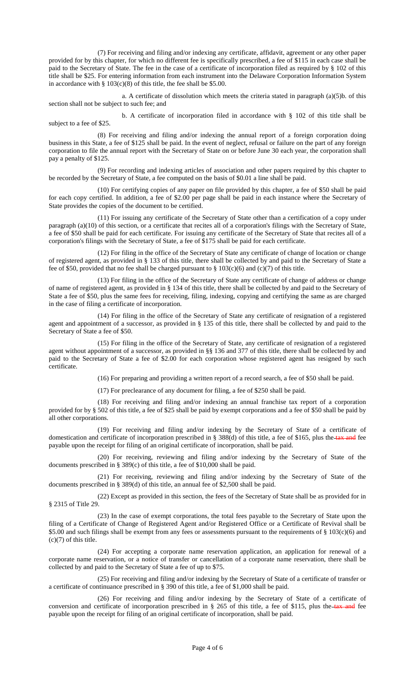(7) For receiving and filing and/or indexing any certificate, affidavit, agreement or any other paper provided for by this chapter, for which no different fee is specifically prescribed, a fee of \$115 in each case shall be paid to the Secretary of State. The fee in the case of a certificate of incorporation filed as required by § 102 of this title shall be \$25. For entering information from each instrument into the Delaware Corporation Information System in accordance with  $\S 103(c)(8)$  of this title, the fee shall be \$5.00.

a. A certificate of dissolution which meets the criteria stated in paragraph  $(a)(5)b$ . of this section shall not be subject to such fee; and

b. A certificate of incorporation filed in accordance with § 102 of this title shall be subject to a fee of \$25.

(8) For receiving and filing and/or indexing the annual report of a foreign corporation doing business in this State, a fee of \$125 shall be paid. In the event of neglect, refusal or failure on the part of any foreign corporation to file the annual report with the Secretary of State on or before June 30 each year, the corporation shall pay a penalty of \$125.

(9) For recording and indexing articles of association and other papers required by this chapter to be recorded by the Secretary of State, a fee computed on the basis of \$0.01 a line shall be paid.

(10) For certifying copies of any paper on file provided by this chapter, a fee of \$50 shall be paid for each copy certified. In addition, a fee of \$2.00 per page shall be paid in each instance where the Secretary of State provides the copies of the document to be certified.

(11) For issuing any certificate of the Secretary of State other than a certification of a copy under paragraph (a)(10) of this section, or a certificate that recites all of a corporation's filings with the Secretary of State, a fee of \$50 shall be paid for each certificate. For issuing any certificate of the Secretary of State that recites all of a corporation's filings with the Secretary of State, a fee of \$175 shall be paid for each certificate.

(12) For filing in the office of the Secretary of State any certificate of change of location or change of registered agent, as provided in § 133 of this title, there shall be collected by and paid to the Secretary of State a fee of \$50, provided that no fee shall be charged pursuant to § 103(c)(6) and (c)(7) of this title.

(13) For filing in the office of the Secretary of State any certificate of change of address or change of name of registered agent, as provided in § 134 of this title, there shall be collected by and paid to the Secretary of State a fee of \$50, plus the same fees for receiving, filing, indexing, copying and certifying the same as are charged in the case of filing a certificate of incorporation.

(14) For filing in the office of the Secretary of State any certificate of resignation of a registered agent and appointment of a successor, as provided in § 135 of this title, there shall be collected by and paid to the Secretary of State a fee of \$50.

(15) For filing in the office of the Secretary of State, any certificate of resignation of a registered agent without appointment of a successor, as provided in §§ 136 and 377 of this title, there shall be collected by and paid to the Secretary of State a fee of \$2.00 for each corporation whose registered agent has resigned by such certificate.

(16) For preparing and providing a written report of a record search, a fee of \$50 shall be paid.

(17) For preclearance of any document for filing, a fee of \$250 shall be paid.

(18) For receiving and filing and/or indexing an annual franchise tax report of a corporation provided for by § 502 of this title, a fee of \$25 shall be paid by exempt corporations and a fee of \$50 shall be paid by all other corporations.

(19) For receiving and filing and/or indexing by the Secretary of State of a certificate of domestication and certificate of incorporation prescribed in § 388(d) of this title, a fee of \$165, plus the tax and fee payable upon the receipt for filing of an original certificate of incorporation, shall be paid.

(20) For receiving, reviewing and filing and/or indexing by the Secretary of State of the documents prescribed in § 389(c) of this title, a fee of \$10,000 shall be paid.

(21) For receiving, reviewing and filing and/or indexing by the Secretary of State of the documents prescribed in § 389(d) of this title, an annual fee of \$2,500 shall be paid.

(22) Except as provided in this section, the fees of the Secretary of State shall be as provided for in § 2315 of Title 29.

(23) In the case of exempt corporations, the total fees payable to the Secretary of State upon the filing of a Certificate of Change of Registered Agent and/or Registered Office or a Certificate of Revival shall be \$5.00 and such filings shall be exempt from any fees or assessments pursuant to the requirements of § 103(c)(6) and  $(c)(7)$  of this title.

(24) For accepting a corporate name reservation application, an application for renewal of a corporate name reservation, or a notice of transfer or cancellation of a corporate name reservation, there shall be collected by and paid to the Secretary of State a fee of up to \$75.

(25) For receiving and filing and/or indexing by the Secretary of State of a certificate of transfer or a certificate of continuance prescribed in § 390 of this title, a fee of \$1,000 shall be paid.

(26) For receiving and filing and/or indexing by the Secretary of State of a certificate of conversion and certificate of incorporation prescribed in § 265 of this title, a fee of \$115, plus the tax and fee payable upon the receipt for filing of an original certificate of incorporation, shall be paid.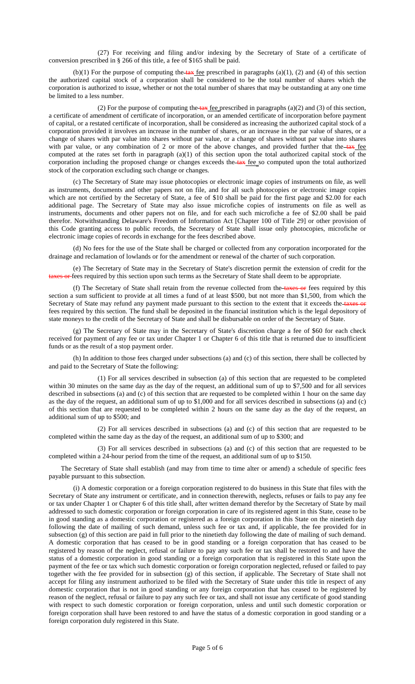(27) For receiving and filing and/or indexing by the Secretary of State of a certificate of conversion prescribed in § 266 of this title, a fee of \$165 shall be paid.

(b)(1) For the purpose of computing the  $\frac{\text{tax}}{\text{dec}}$  prescribed in paragraphs (a)(1), (2) and (4) of this section the authorized capital stock of a corporation shall be considered to be the total number of shares which the corporation is authorized to issue, whether or not the total number of shares that may be outstanding at any one time be limited to a less number.

(2) For the purpose of computing the  $\frac{\text{tax}}{\text{te}}$  prescribed in paragraphs (a)(2) and (3) of this section, a certificate of amendment of certificate of incorporation, or an amended certificate of incorporation before payment of capital, or a restated certificate of incorporation, shall be considered as increasing the authorized capital stock of a corporation provided it involves an increase in the number of shares, or an increase in the par value of shares, or a change of shares with par value into shares without par value, or a change of shares without par value into shares with par value, or any combination of 2 or more of the above changes, and provided further that the tax fee computed at the rates set forth in paragraph (a)(1) of this section upon the total authorized capital stock of the corporation including the proposed change or changes exceeds the tax fee so computed upon the total authorized stock of the corporation excluding such change or changes.

(c) The Secretary of State may issue photocopies or electronic image copies of instruments on file, as well as instruments, documents and other papers not on file, and for all such photocopies or electronic image copies which are not certified by the Secretary of State, a fee of \$10 shall be paid for the first page and \$2.00 for each additional page. The Secretary of State may also issue microfiche copies of instruments on file as well as instruments, documents and other papers not on file, and for each such microfiche a fee of \$2.00 shall be paid therefor. Notwithstanding Delaware's Freedom of Information Act [Chapter 100 of Title 29] or other provision of this Code granting access to public records, the Secretary of State shall issue only photocopies, microfiche or electronic image copies of records in exchange for the fees described above.

(d) No fees for the use of the State shall be charged or collected from any corporation incorporated for the drainage and reclamation of lowlands or for the amendment or renewal of the charter of such corporation.

(e) The Secretary of State may in the Secretary of State's discretion permit the extension of credit for the taxes or fees required by this section upon such terms as the Secretary of State shall deem to be appropriate.

(f) The Secretary of State shall retain from the revenue collected from the taxes or fees required by this section a sum sufficient to provide at all times a fund of at least \$500, but not more than \$1,500, from which the Secretary of State may refund any payment made pursuant to this section to the extent that it exceeds the taxes or fees required by this section. The fund shall be deposited in the financial institution which is the legal depository of state moneys to the credit of the Secretary of State and shall be disbursable on order of the Secretary of State.

(g) The Secretary of State may in the Secretary of State's discretion charge a fee of \$60 for each check received for payment of any fee or tax under Chapter 1 or Chapter 6 of this title that is returned due to insufficient funds or as the result of a stop payment order.

(h) In addition to those fees charged under subsections (a) and (c) of this section, there shall be collected by and paid to the Secretary of State the following:

(1) For all services described in subsection (a) of this section that are requested to be completed within 30 minutes on the same day as the day of the request, an additional sum of up to \$7,500 and for all services described in subsections (a) and (c) of this section that are requested to be completed within 1 hour on the same day as the day of the request, an additional sum of up to \$1,000 and for all services described in subsections (a) and (c) of this section that are requested to be completed within 2 hours on the same day as the day of the request, an additional sum of up to \$500; and

(2) For all services described in subsections (a) and (c) of this section that are requested to be completed within the same day as the day of the request, an additional sum of up to \$300; and

(3) For all services described in subsections (a) and (c) of this section that are requested to be completed within a 24-hour period from the time of the request, an additional sum of up to \$150.

The Secretary of State shall establish (and may from time to time alter or amend) a schedule of specific fees payable pursuant to this subsection.

(i) A domestic corporation or a foreign corporation registered to do business in this State that files with the Secretary of State any instrument or certificate, and in connection therewith, neglects, refuses or fails to pay any fee or tax under Chapter 1 or Chapter 6 of this title shall, after written demand therefor by the Secretary of State by mail addressed to such domestic corporation or foreign corporation in care of its registered agent in this State, cease to be in good standing as a domestic corporation or registered as a foreign corporation in this State on the ninetieth day following the date of mailing of such demand, unless such fee or tax and, if applicable, the fee provided for in subsection (g) of this section are paid in full prior to the ninetieth day following the date of mailing of such demand. A domestic corporation that has ceased to be in good standing or a foreign corporation that has ceased to be registered by reason of the neglect, refusal or failure to pay any such fee or tax shall be restored to and have the status of a domestic corporation in good standing or a foreign corporation that is registered in this State upon the payment of the fee or tax which such domestic corporation or foreign corporation neglected, refused or failed to pay together with the fee provided for in subsection (g) of this section, if applicable. The Secretary of State shall not accept for filing any instrument authorized to be filed with the Secretary of State under this title in respect of any domestic corporation that is not in good standing or any foreign corporation that has ceased to be registered by reason of the neglect, refusal or failure to pay any such fee or tax, and shall not issue any certificate of good standing with respect to such domestic corporation or foreign corporation, unless and until such domestic corporation or foreign corporation shall have been restored to and have the status of a domestic corporation in good standing or a foreign corporation duly registered in this State.